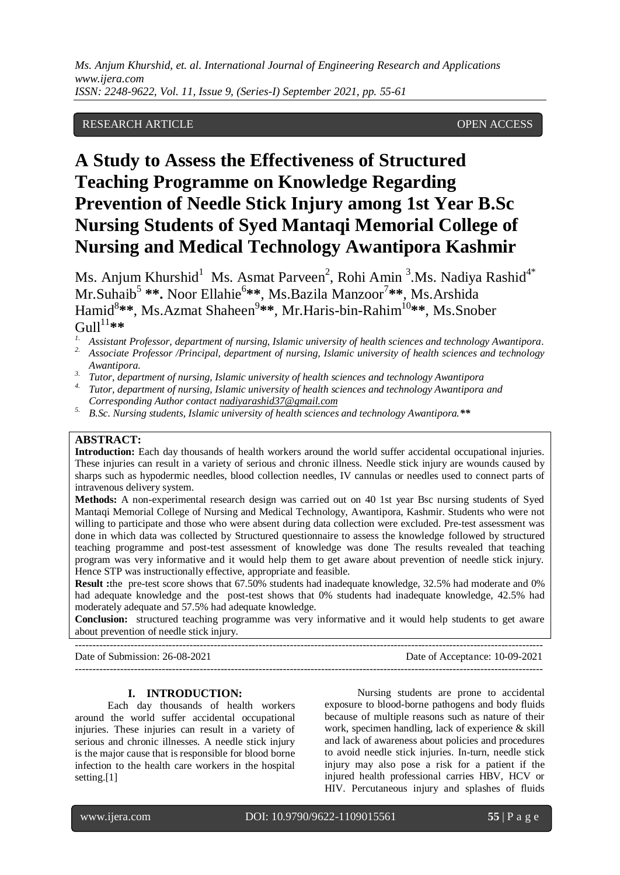# RESEARCH ARTICLE **OPEN ACCESS**

# **A Study to Assess the Effectiveness of Structured Teaching Programme on Knowledge Regarding Prevention of Needle Stick Injury among 1st Year B.Sc Nursing Students of Syed Mantaqi Memorial College of Nursing and Medical Technology Awantipora Kashmir**

Ms. Anjum Khurshid $^1$  Ms. Asmat Parveen<sup>2</sup>, Rohi Amin <sup>3</sup>.Ms. Nadiya Rashid<sup>4\*</sup> Mr.Suhaib<sup>5</sup> \*\*. Noor Ellahie<sup>6</sup>\*\*, Ms.Bazila Manzoor<sup>7</sup>\*\*, Ms.Arshida Hamid<sup>8\*\*</sup>, Ms.Azmat Shaheen<sup>9\*\*</sup>, Mr.Haris-bin-Rahim<sup>10</sup>\*\*, Ms.Snober  $Gull^{11**}$ 

- *2. Associate Professor /Principal, department of nursing, Islamic university of health sciences and technology Awantipora.*
- *3. Tutor, department of nursing, Islamic university of health sciences and technology Awantipora*
- *4. Tutor, department of nursing, Islamic university of health sciences and technology Awantipora and Corresponding Author contact [nadiyarashid37@gmail.com](mailto:nadiyarashid37@gmail.com)*
- *5. B.Sc. Nursing students, Islamic university of health sciences and technology Awantipora.\*\**

# **ABSTRACT:**

**Introduction:** Each day thousands of health workers around the world suffer accidental occupational injuries. These injuries can result in a variety of serious and chronic illness. Needle stick injury are wounds caused by sharps such as hypodermic needles, blood collection needles, IV cannulas or needles used to connect parts of intravenous delivery system.

**Methods:** A non-experimental research design was carried out on 40 1st year Bsc nursing students of Syed Mantaqi Memorial College of Nursing and Medical Technology, Awantipora, Kashmir. Students who were not willing to participate and those who were absent during data collection were excluded. Pre-test assessment was done in which data was collected by Structured questionnaire to assess the knowledge followed by structured teaching programme and post-test assessment of knowledge was done The results revealed that teaching program was very informative and it would help them to get aware about prevention of needle stick injury. Hence STP was instructionally effective, appropriate and feasible.

**Result :**the pre-test score shows that 67.50% students had inadequate knowledge, 32.5% had moderate and 0% had adequate knowledge and the post-test shows that 0% students had inadequate knowledge, 42.5% had moderately adequate and 57.5% had adequate knowledge.

**Conclusion:** structured teaching programme was very informative and it would help students to get aware about prevention of needle stick injury. ---------------------------------------------------------------------------------------------------------------------------------------

---------------------------------------------------------------------------------------------------------------------------------------

Date of Submission: 26-08-2021 Date of Acceptance: 10-09-2021

**I. INTRODUCTION:**

Each day thousands of health workers around the world suffer accidental occupational injuries. These injuries can result in a variety of serious and chronic illnesses. A needle stick injury is the major cause that is responsible for blood borne infection to the health care workers in the hospital setting.<sup>[1]</sup>

Nursing students are prone to accidental exposure to blood-borne pathogens and body fluids because of multiple reasons such as nature of their work, specimen handling, lack of experience & skill and lack of awareness about policies and procedures to avoid needle stick injuries. In-turn, needle stick injury may also pose a risk for a patient if the injured health professional carries HBV, HCV or HIV. Percutaneous injury and splashes of fluids

*<sup>1.</sup> Assistant Professor, department of nursing, Islamic university of health sciences and technology Awantipora.*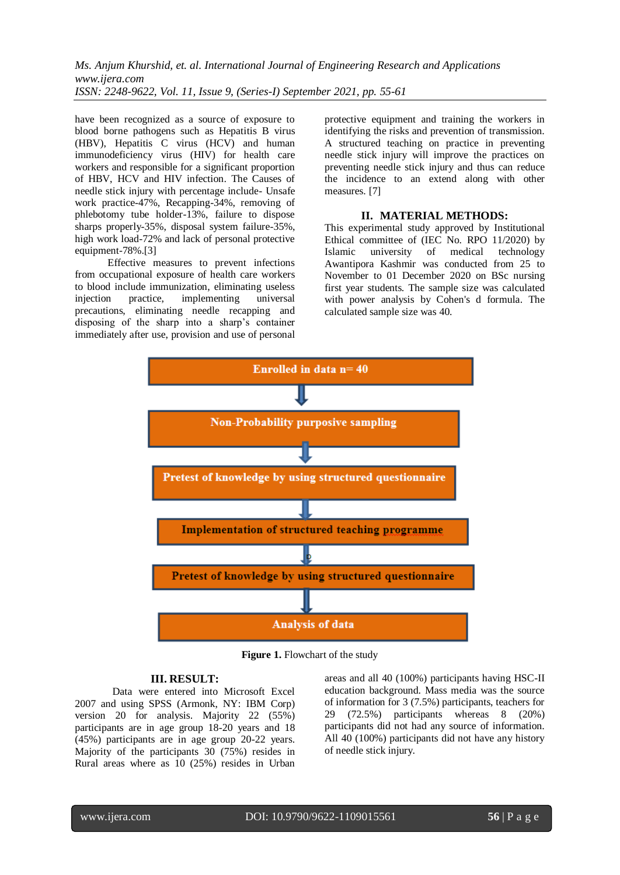have been recognized as a source of exposure to blood borne pathogens such as Hepatitis B virus (HBV), Hepatitis C virus (HCV) and human immunodeficiency virus (HIV) for health care workers and responsible for a significant proportion of HBV, HCV and HIV infection. The Causes of needle stick injury with percentage include- Unsafe work practice-47%, Recapping-34%, removing of phlebotomy tube holder-13%, failure to dispose sharps properly-35%, disposal system failure-35%, high work load-72% and lack of personal protective equipment-78%.[3]

Effective measures to prevent infections from occupational exposure of health care workers to blood include immunization, eliminating useless<br>injection practice, implementing universal injection practice, implementing universal precautions, eliminating needle recapping and disposing of the sharp into a sharp's container immediately after use, provision and use of personal protective equipment and training the workers in identifying the risks and prevention of transmission. A structured teaching on practice in preventing needle stick injury will improve the practices on preventing needle stick injury and thus can reduce the incidence to an extend along with other measures. [7]

#### **II. MATERIAL METHODS:**

This experimental study approved by Institutional Ethical committee of (IEC No. RPO 11/2020) by Islamic university of medical technology Awantipora Kashmir was conducted from 25 to November to 01 December 2020 on BSc nursing first year students. The sample size was calculated with power analysis by Cohen's d formula. The calculated sample size was 40.



**Figure 1.** Flowchart of the study

#### **III. RESULT:**

Data were entered into Microsoft Excel 2007 and using SPSS (Armonk, NY: IBM Corp) version 20 for analysis. Majority 22 (55%) participants are in age group 18-20 years and 18 (45%) participants are in age group 20-22 years. Majority of the participants 30 (75%) resides in Rural areas where as 10 (25%) resides in Urban

areas and all 40 (100%) participants having HSC-II education background. Mass media was the source of information for 3 (7.5%) participants, teachers for 29 (72.5%) participants whereas 8 (20%) participants did not had any source of information. All 40 (100%) participants did not have any history of needle stick injury.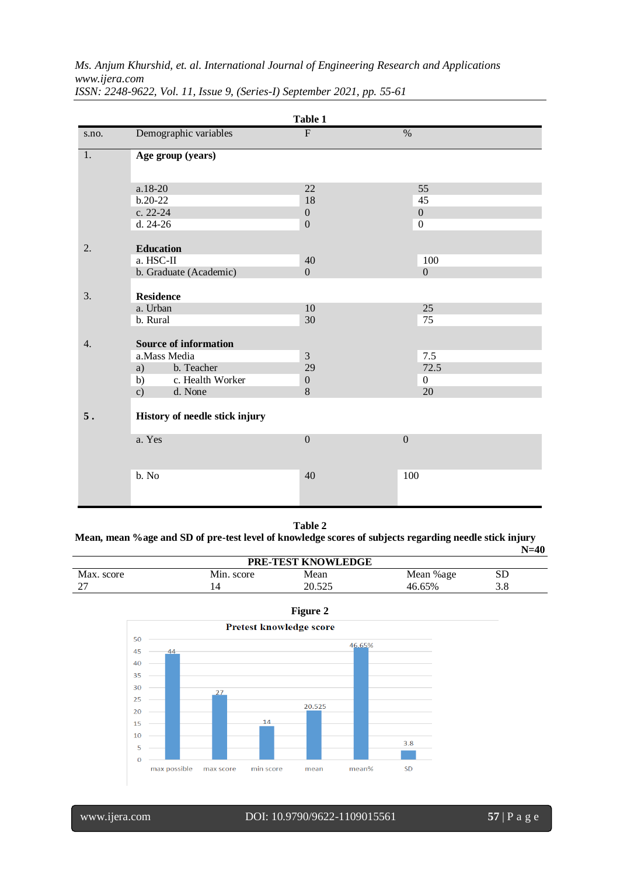*Ms. Anjum Khurshid, et. al. International Journal of Engineering Research and Applications www.ijera.com*

|       |                                   | Table 1               |                  |  |  |  |  |  |
|-------|-----------------------------------|-----------------------|------------------|--|--|--|--|--|
| s.no. | Demographic variables             | $\mathbf{F}$          | $\%$             |  |  |  |  |  |
| 1.    | Age group (years)                 |                       |                  |  |  |  |  |  |
|       | $a.18-20$                         | 22                    | 55               |  |  |  |  |  |
|       | $b.20-22$                         | 18                    | 45               |  |  |  |  |  |
|       | c. 22-24                          | $\boldsymbol{0}$      | $\mathbf{0}$     |  |  |  |  |  |
|       | d. 24-26                          | $\boldsymbol{0}$      | $\boldsymbol{0}$ |  |  |  |  |  |
| 2.    | <b>Education</b>                  |                       |                  |  |  |  |  |  |
|       | a. HSC-II                         | 40                    | 100              |  |  |  |  |  |
|       | b. Graduate (Academic)            | $\Omega$              | $\overline{0}$   |  |  |  |  |  |
| 3.    | <b>Residence</b><br>a. Urban      | 10                    | 25               |  |  |  |  |  |
|       | b. Rural                          | 30                    | 75               |  |  |  |  |  |
|       |                                   |                       |                  |  |  |  |  |  |
| 4.    | <b>Source of information</b>      |                       |                  |  |  |  |  |  |
|       | a.Mass Media                      | $\mathfrak{Z}$        | 7.5              |  |  |  |  |  |
|       | b. Teacher<br>a)                  | 29                    | 72.5             |  |  |  |  |  |
|       | c. Health Worker<br>b)<br>d. None | $\boldsymbol{0}$<br>8 | $\mathbf{0}$     |  |  |  |  |  |
|       | $\mathbf{c})$                     |                       | 20               |  |  |  |  |  |
| 5.    | History of needle stick injury    |                       |                  |  |  |  |  |  |
|       | a. Yes                            | $\overline{0}$        | $\overline{0}$   |  |  |  |  |  |
|       | b. No                             | 40                    | 100              |  |  |  |  |  |

*ISSN: 2248-9622, Vol. 11, Issue 9, (Series-I) September 2021, pp. 55-61*

**Table 2**

**Mean, mean %age and SD of pre-test level of knowledge scores of subjects regarding needle stick injury N=40**

| PRE-TEST KNOWLEDGE       |            |                  |           |     |  |  |  |  |  |
|--------------------------|------------|------------------|-----------|-----|--|--|--|--|--|
| Max. score               | Min. score | Mean             | Mean %age | SD  |  |  |  |  |  |
| $\overline{\phantom{a}}$ | 14         | 20 525<br>20.JZJ | 46.65%    | 3.8 |  |  |  |  |  |



**Figure 2**

www.ijera.com DOI: 10.9790/9622-1109015561 **57** | P a g e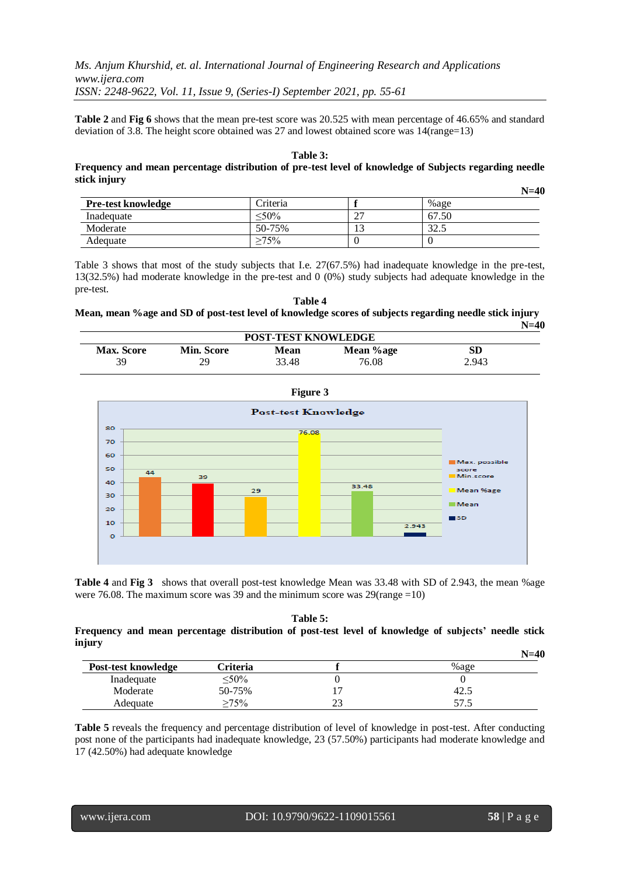**Table 2** and **Fig 6** shows that the mean pre-test score was 20.525 with mean percentage of 46.65% and standard deviation of 3.8. The height score obtained was 27 and lowest obtained score was 14(range=13)

#### **Table 3:**

#### **Frequency and mean percentage distribution of pre-test level of knowledge of Subjects regarding needle stick injury N=40**

|                           |          |     |       | IN=40 |
|---------------------------|----------|-----|-------|-------|
| <b>Pre-test knowledge</b> | Criteria |     | %age  |       |
| Inadequate                | $< 50\%$ | ∸   | 67.50 |       |
| Moderate                  | 50-75%   | ⊥ J | 32.5  |       |
| Adequate                  | $>75\%$  |     |       |       |

Table 3 shows that most of the study subjects that I.e. 27(67.5%) had inadequate knowledge in the pre-test, 13(32.5%) had moderate knowledge in the pre-test and 0 (0%) study subjects had adequate knowledge in the pre-test.

#### **Table 4 Mean, mean %age and SD of post-test level of knowledge scores of subjects regarding needle stick injury N=40**

| <b>POST-TEST KNOWLEDGE</b> |                   |       |           |       |  |  |  |  |
|----------------------------|-------------------|-------|-----------|-------|--|--|--|--|
| <b>Max. Score</b>          | <b>Min. Score</b> | Mean  | Mean %age | SD    |  |  |  |  |
| 39                         | 29                | 33.48 | 76.08     | 2.943 |  |  |  |  |



**Table 4** and **Fig 3** shows that overall post-test knowledge Mean was 33.48 with SD of 2.943, the mean %age were 76.08. The maximum score was 39 and the minimum score was 29(range =10)

#### **Table 5: Frequency and mean percentage distribution of post-test level of knowledge of subjects' needle stick injury**

|                     |             |    | $N=40$  |
|---------------------|-------------|----|---------|
| Post-test knowledge | Criteria    |    | $%$ age |
| Inadequate          | $\leq 50\%$ |    |         |
| Moderate            | 50-75%      |    | 42.5    |
| Adequate            | $>75\%$     | າຈ | ن ، ، ب |

**Table 5** reveals the frequency and percentage distribution of level of knowledge in post-test. After conducting post none of the participants had inadequate knowledge, 23 (57.50%) participants had moderate knowledge and 17 (42.50%) had adequate knowledge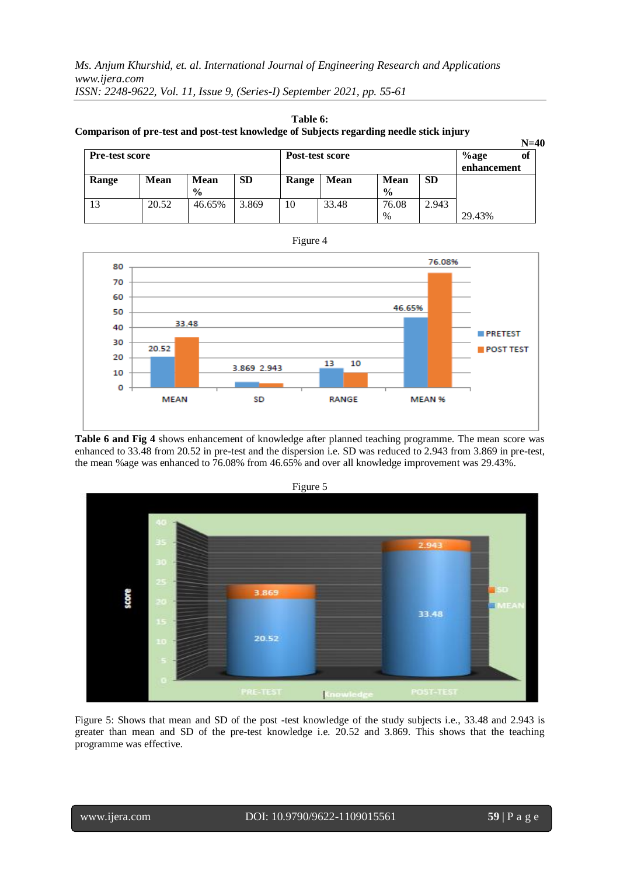| Table 6:                                                                                 |
|------------------------------------------------------------------------------------------|
| Comparison of pre-test and post-test knowledge of Subjects regarding needle stick injury |

|                       |             |               |           |                 |             |               |           |             | $N=40$ |
|-----------------------|-------------|---------------|-----------|-----------------|-------------|---------------|-----------|-------------|--------|
| <b>Pre-test score</b> |             |               |           | Post-test score |             |               |           | of          |        |
|                       |             |               |           |                 |             |               |           | enhancement |        |
| Range                 | <b>Mean</b> | <b>Mean</b>   | <b>SD</b> | Range           | <b>Mean</b> | <b>Mean</b>   | <b>SD</b> |             |        |
|                       |             | $\frac{6}{9}$ |           |                 |             | $\frac{0}{0}$ |           |             |        |
| 13                    | 20.52       | 46.65%        | 3.869     | 10              | 33.48       | 76.08         | 2.943     |             |        |
|                       |             |               |           |                 |             | %             |           | 29.43%      |        |



**Table 6 and Fig 4** shows enhancement of knowledge after planned teaching programme. The mean score was enhanced to 33.48 from 20.52 in pre-test and the dispersion i.e. SD was reduced to 2.943 from 3.869 in pre-test, the mean %age was enhanced to 76.08% from 46.65% and over all knowledge improvement was 29.43%.



Figure 5: Shows that mean and SD of the post -test knowledge of the study subjects i.e., 33.48 and 2.943 is greater than mean and SD of the pre-test knowledge i.e. 20.52 and 3.869. This shows that the teaching programme was effective.

Figure 5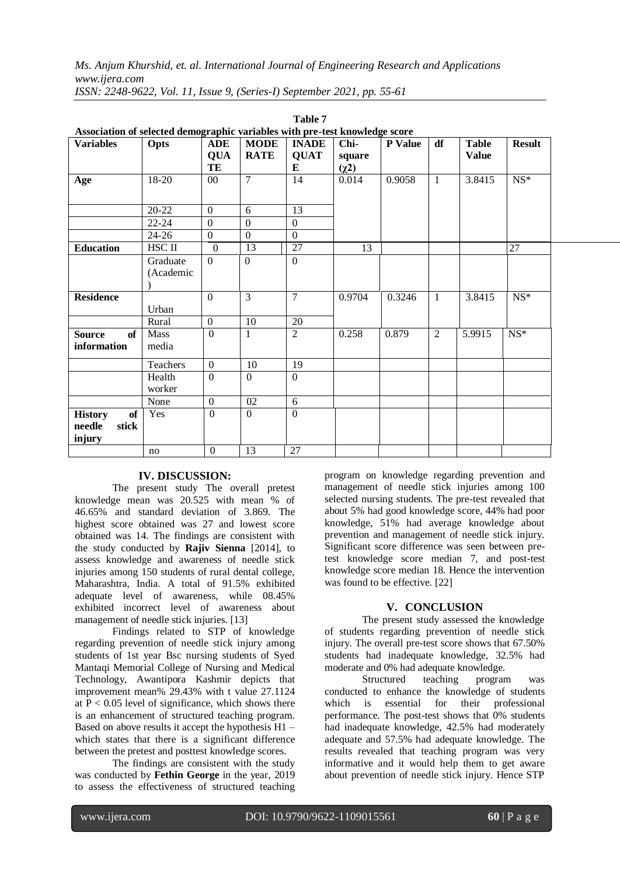| Association of selected demographic variables with pre-test knowledge score |                       |                          |                            |                             |                |         |                |                              |               |
|-----------------------------------------------------------------------------|-----------------------|--------------------------|----------------------------|-----------------------------|----------------|---------|----------------|------------------------------|---------------|
| <b>Variables</b>                                                            | Opts                  | <b>ADE</b><br><b>QUA</b> | <b>MODE</b><br><b>RATE</b> | <b>INADE</b><br><b>QUAT</b> | Chi-<br>square | P Value | df             | <b>Table</b><br><b>Value</b> | <b>Result</b> |
|                                                                             |                       | TE                       |                            | E                           | $(\chi^2)$     |         |                |                              |               |
| Age                                                                         | 18-20                 | $00\,$                   | $\overline{7}$             | 14                          | 0.014          | 0.9058  | $\mathbf{1}$   | 3.8415                       | $NS*$         |
|                                                                             | $20 - 22$             | $\mathbf{0}$             | 6                          | 13                          |                |         |                |                              |               |
|                                                                             | $22 - 24$             | $\Omega$                 | $\Omega$                   | $\Omega$                    |                |         |                |                              |               |
|                                                                             | $24 - 26$             | $\overline{0}$           | $\overline{0}$             | $\Omega$                    |                |         |                |                              |               |
| <b>Education</b>                                                            | HSC II                | $\theta$                 | 13                         | $\overline{27}$             | 13             |         |                |                              | 27            |
|                                                                             | Graduate<br>(Academic | $\Omega$                 | $\Omega$                   | $\Omega$                    |                |         |                |                              |               |
| <b>Residence</b>                                                            | Urban                 | $\overline{0}$           | 3                          | $\overline{7}$              | 0.9704         | 0.3246  | $\mathbf{1}$   | 3.8415                       | $NS*$         |
|                                                                             | Rural                 | $\Omega$                 | 10                         | 20                          |                |         |                |                              |               |
| <b>of</b><br><b>Source</b><br>information                                   | Mass<br>media         | $\mathbf{0}$             | $\mathbf{1}$               | $\overline{2}$              | 0.258          | 0.879   | $\overline{2}$ | 5.9915                       | $NS^*$        |
|                                                                             | Teachers              | $\mathbf{0}$             | 10                         | 19                          |                |         |                |                              |               |
|                                                                             | Health<br>worker      | $\Omega$                 | $\Omega$                   | $\Omega$                    |                |         |                |                              |               |
|                                                                             | None                  | $\mathbf{0}$             | 02                         | 6                           |                |         |                |                              |               |
| of<br><b>History</b><br>stick<br>needle<br>injury                           | Yes                   | $\overline{0}$           | $\overline{0}$             | $\overline{0}$              |                |         |                |                              |               |
|                                                                             | no                    | $\boldsymbol{0}$         | 13                         | 27                          |                |         |                |                              |               |

|                                                                            |  | <b>Table 7</b> |  |
|----------------------------------------------------------------------------|--|----------------|--|
| Association of selected demographic variables with pre-test knowledge scor |  |                |  |
|                                                                            |  |                |  |

# **IV. DISCUSSION:**

The present study The overall pretest knowledge mean was 20.525 with mean % of 46.65% and standard deviation of 3.869. The highest score obtained was 27 and lowest score obtained was 14. The findings are consistent with the study conducted by **Rajiv Sienna** [2014], to assess knowledge and awareness of needle stick injuries among 150 students of rural dental college, Maharashtra, India. A total of 91.5% exhibited adequate level of awareness, while 08.45% exhibited incorrect level of awareness about management of needle stick injuries. [13]

Findings related to STP of knowledge regarding prevention of needle stick injury among students of 1st year Bsc nursing students of Syed Mantaqi Memorial College of Nursing and Medical Technology, Awantipora Kashmir depicts that improvement mean% 29.43% with t value 27.1124 at  $P < 0.05$  level of significance, which shows there is an enhancement of structured teaching program. Based on above results it accept the hypothesis H1 – which states that there is a significant difference between the pretest and posttest knowledge scores.

The findings are consistent with the study was conducted by **Fethin George** in the year, 2019 to assess the effectiveness of structured teaching program on knowledge regarding prevention and management of needle stick injuries among 100 selected nursing students. The pre-test revealed that about 5% had good knowledge score, 44% had poor knowledge, 51% had average knowledge about prevention and management of needle stick injury. Significant score difference was seen between pretest knowledge score median 7, and post-test knowledge score median 18. Hence the intervention was found to be effective. [22]

### **V. CONCLUSION**

The present study assessed the knowledge of students regarding prevention of needle stick injury. The overall pre-test score shows that 67.50% students had inadequate knowledge, 32.5% had moderate and 0% had adequate knowledge.

Structured teaching program was conducted to enhance the knowledge of students which is essential for their professional performance. The post-test shows that 0% students had inadequate knowledge, 42.5% had moderately adequate and 57.5% had adequate knowledge. The results revealed that teaching program was very informative and it would help them to get aware about prevention of needle stick injury. Hence STP